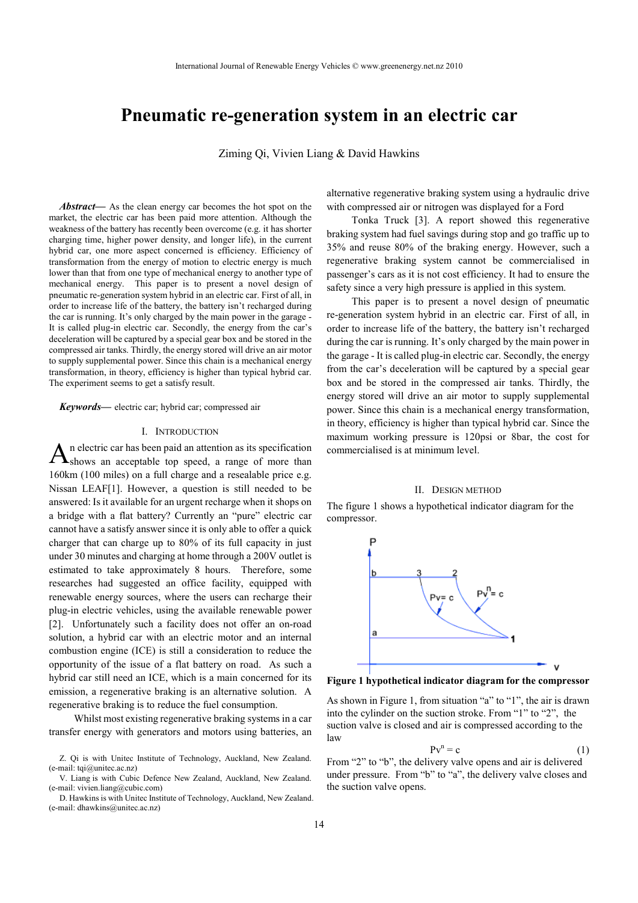# **Pneumatic re-generation system in an electric car**

Ziming Qi, Vivien Liang & David Hawkins

*Abstract***—** As the clean energy car becomes the hot spot on the market, the electric car has been paid more attention. Although the weakness of the battery has recently been overcome (e.g. it has shorter charging time, higher power density, and longer life), in the current hybrid car, one more aspect concerned is efficiency. Efficiency of transformation from the energy of motion to electric energy is much lower than that from one type of mechanical energy to another type of mechanical energy. This paper is to present a novel design of pneumatic re-generation system hybrid in an electric car. First of all, in order to increase life of the battery, the battery isn't recharged during the car is running. It's only charged by the main power in the garage - It is called plug-in electric car. Secondly, the energy from the car's deceleration will be captured by a special gear box and be stored in the compressed air tanks. Thirdly, the energy stored will drive an air motor to supply supplemental power. Since this chain is a mechanical energy transformation, in theory, efficiency is higher than typical hybrid car. The experiment seems to get a satisfy result.

*Keywords***—** electric car; hybrid car; compressed air

# I. INTRODUCTION

n electric car has been paid an attention as its specification  $A_n$ n electric car has been paid an attention as its specification<br>Ashows an acceptable top speed, a range of more than 160km (100 miles) on a full charge and a resealable price e.g. Nissan LEAF[1]. However, a question is still needed to be answered: Is it available for an urgent recharge when it shops on a bridge with a flat battery? Currently an "pure" electric car cannot have a satisfy answer since it is only able to offer a quick charger that can charge up to 80% of its full capacity in just under 30 minutes and charging at home through a 200V outlet is estimated to take approximately 8 hours. Therefore, some researches had suggested an office facility, equipped with renewable energy sources, where the users can recharge their plug-in electric vehicles, using the available renewable power [2]. Unfortunately such a facility does not offer an on-road solution, a hybrid car with an electric motor and an internal combustion engine (ICE) is still a consideration to reduce the opportunity of the issue of a flat battery on road. As such a hybrid car still need an ICE, which is a main concerned for its emission, a regenerative braking is an alternative solution. A regenerative braking is to reduce the fuel consumption.

Whilst most existing regenerative braking systems in a car transfer energy with generators and motors using batteries, an

Z. Qi is with Unitec Institute of Technology, Auckland, New Zealand. (e-mail: tqi@unitec.ac.nz)

V. Liang is with Cubic Defence New Zealand, Auckland, New Zealand. (e-mail: vivien.liang@cubic.com)

D. Hawkins is with Unitec Institute of Technology, Auckland, New Zealand. (e-mail: dhawkins@unitec.ac.nz)

alternative regenerative braking system using a hydraulic drive with compressed air or nitrogen was displayed for a Ford

Tonka Truck [3]. A report showed this regenerative braking system had fuel savings during stop and go traffic up to 35% and reuse 80% of the braking energy. However, such a regenerative braking system cannot be commercialised in passenger's cars as it is not cost efficiency. It had to ensure the safety since a very high pressure is applied in this system.

This paper is to present a novel design of pneumatic re-generation system hybrid in an electric car. First of all, in order to increase life of the battery, the battery isn't recharged during the car is running. It's only charged by the main power in the garage - It is called plug-in electric car. Secondly, the energy from the car's deceleration will be captured by a special gear box and be stored in the compressed air tanks. Thirdly, the energy stored will drive an air motor to supply supplemental power. Since this chain is a mechanical energy transformation, in theory, efficiency is higher than typical hybrid car. Since the maximum working pressure is 120psi or 8bar, the cost for commercialised is at minimum level.

#### II. DESIGN METHOD

The figure 1 shows a hypothetical indicator diagram for the compressor.



**Figure 1 hypothetical indicator diagram for the compressor** 

As shown in Figure 1, from situation "a" to "1", the air is drawn into the cylinder on the suction stroke. From "1" to "2", the suction valve is closed and air is compressed according to the law

$$
P v^n = c \tag{1}
$$

From "2" to "b", the delivery valve opens and air is delivered under pressure. From "b" to "a", the delivery valve closes and the suction valve opens.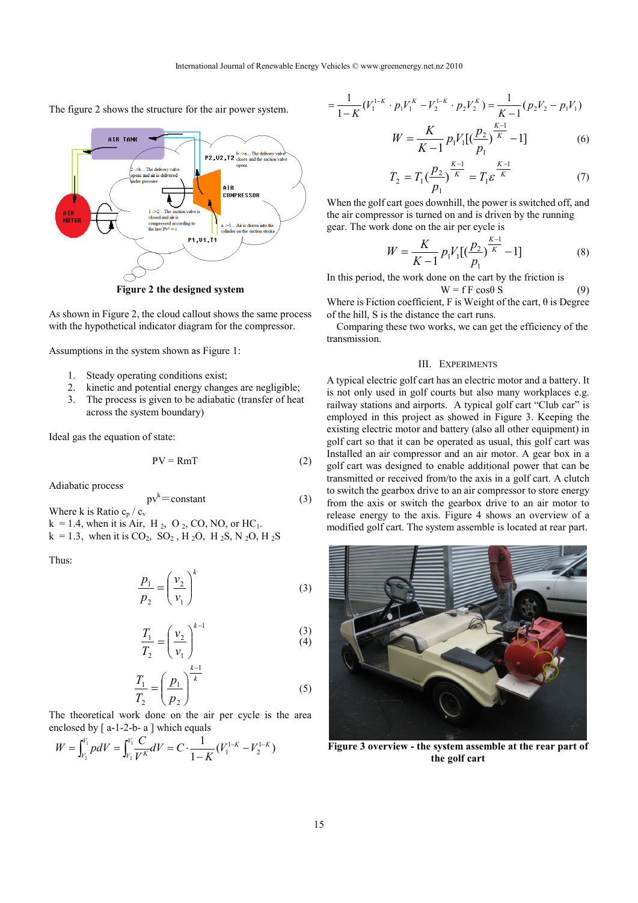The figure 2 shows the structure for the air power system.



**Figure 2 the designed system** 

As shown in Figure 2, the cloud callout shows the same process with the hypothetical indicator diagram for the compressor.

Assumptions in the system shown as Figure 1:

- 1. Steady operating conditions exist;
- 2. kinetic and potential energy changes are negligible;
- 3. The process is given to be adiabatic (transfer of heat across the system boundary)

Ideal gas the equation of state:

$$
PV = RmT
$$
 (2)

Adiabatic process

$$
pv^k = constant
$$
 (3)

Where k is Ratio  $c_p / c_v$ 

 $k = 1.4$ , when it is Air, H<sub>2</sub>, O<sub>2</sub>, CO, NO, or HC<sub>1</sub>.

 $k = 1.3$ , when it is CO<sub>2</sub>, SO<sub>2</sub>, H<sub>2</sub>O, H<sub>2</sub>S, N<sub>2</sub>O, H<sub>2</sub>S

Thus:

$$
\frac{p_1}{p_2} = \left(\frac{v_2}{v_1}\right)^k\tag{3}
$$

$$
\frac{T_1}{T_2} = \left(\frac{v_2}{v_1}\right)^{k-1}
$$
\n(3)\n(4)

$$
\frac{T_1}{T_2} = \left(\frac{p_1}{p_2}\right)^{\frac{k-1}{k}}
$$
\n(5)

The theoretical work done on the air per cycle is the area enclosed by [ a-1-2-b- a ] which equals

$$
W = \int_{V_2}^{V_1} p dV = \int_{V_2}^{V_1} \frac{C}{V} dV = C \cdot \frac{1}{1 - K} (V_1^{1 - K} - V_2^{1 - K})
$$

$$
= \frac{1}{1-K} (V_1^{1-K} \cdot p_1 V_1^K - V_2^{1-K} \cdot p_2 V_2^K) = \frac{1}{K-1} (p_2 V_2 - p_1 V_1)
$$

$$
W = \frac{K}{K-1} p_1 V_1 [(\frac{p_2}{p_1})^{\frac{K-1}{K}} - 1] \tag{6}
$$

$$
T_2 = T_1 \left(\frac{p_2}{p_1}\right)^{\frac{K-1}{K}} = T_1 \varepsilon^{\frac{K-1}{K}} \tag{7}
$$

When the golf cart goes downhill, the power is switched off, and the air compressor is turned on and is driven by the running gear. The work done on the air per cycle is

$$
W = \frac{K}{K-1} p_1 V_1 \left[ \left( \frac{p_2}{p_1} \right)^{\frac{K-1}{K}} - 1 \right] \tag{8}
$$

In this period, the work done on the cart by the friction is<br> $W = \mathbf{F} \cos 0.5$ 

$$
W = f F \cos \theta S \tag{9}
$$

Where is Fiction coefficient, F is Weight of the cart,  $\theta$  is Degree of the hill, S is the distance the cart runs.

 Comparing these two works, we can get the efficiency of the transmission.

# III. EXPERIMENTS

A typical electric golf cart has an electric motor and a battery. It is not only used in golf courts but also many workplaces e.g. railway stations and airports. A typical golf cart "Club car" is employed in this project as showed in Figure 3. Keeping the existing electric motor and battery (also all other equipment) in golf cart so that it can be operated as usual, this golf cart was Installed an air compressor and an air motor. A gear box in a golf cart was designed to enable additional power that can be transmitted or received from/to the axis in a golf cart. A clutch to switch the gearbox drive to an air compressor to store energy from the axis or switch the gearbox drive to an air motor to release energy to the axis. Figure 4 shows an overview of a modified golf cart. The system assemble is located at rear part.



**Figure 3 overview - the system assemble at the rear part of the golf cart**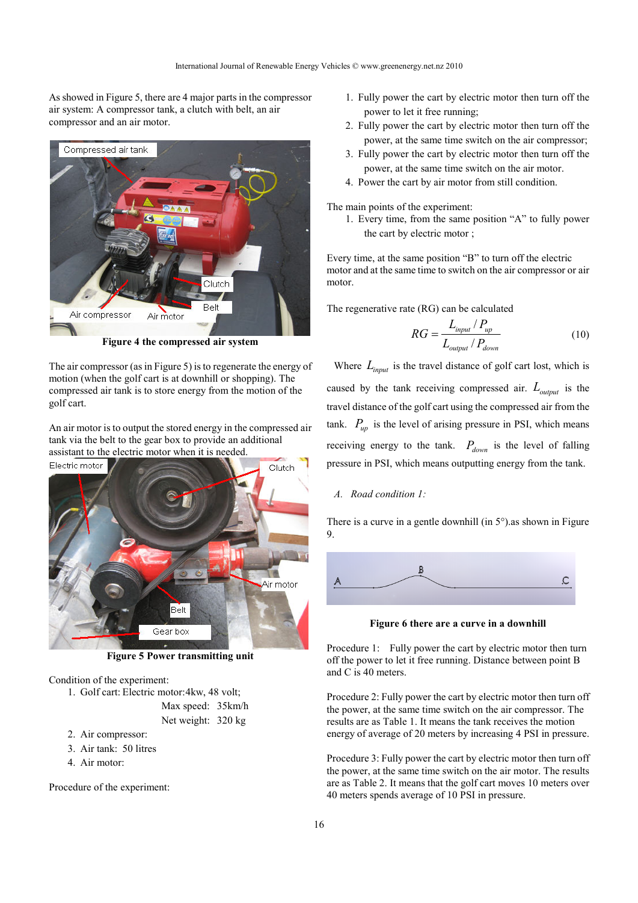As showed in Figure 5, there are 4 major parts in the compressor air system: A compressor tank, a clutch with belt, an air compressor and an air motor.



**Figure 4 the compressed air system** 

The air compressor (as in Figure 5) is to regenerate the energy of motion (when the golf cart is at downhill or shopping). The compressed air tank is to store energy from the motion of the golf cart.

An air motor is to output the stored energy in the compressed air tank via the belt to the gear box to provide an additional assistant to the electric motor when it is needed.



**Figure 5 Power transmitting unit** 

Condition of the experiment:

1. Golf cart: Electric motor: 4kw, 48 volt;

Max speed: 35km/h Net weight: 320 kg

- 2. Air compressor:
- 3. Air tank: 50 litres
- 4. Air motor:

Procedure of the experiment:

- 1. Fully power the cart by electric motor then turn off the power to let it free running;
- 2. Fully power the cart by electric motor then turn off the power, at the same time switch on the air compressor;
- 3. Fully power the cart by electric motor then turn off the power, at the same time switch on the air motor.
- 4. Power the cart by air motor from still condition.

The main points of the experiment:

1. Every time, from the same position "A" to fully power the cart by electric motor ;

Every time, at the same position "B" to turn off the electric motor and at the same time to switch on the air compressor or air motor.

The regenerative rate (RG) can be calculated

$$
RG = \frac{L_{input} / P_{up}}{L_{output} / P_{down}}
$$
(10)

Where *Linput* is the travel distance of golf cart lost, which is caused by the tank receiving compressed air. *Loutput* is the travel distance of the golf cart using the compressed air from the tank.  $P_{up}$  is the level of arising pressure in PSI, which means receiving energy to the tank.  $P_{down}$  is the level of falling pressure in PSI, which means outputting energy from the tank.

*A. Road condition 1:* 

There is a curve in a gentle downhill (in  $5^{\circ}$ ). as shown in Figure 9.



**Figure 6 there are a curve in a downhill** 

Procedure 1: Fully power the cart by electric motor then turn off the power to let it free running. Distance between point B and C is 40 meters.

Procedure 2: Fully power the cart by electric motor then turn off the power, at the same time switch on the air compressor. The results are as Table 1. It means the tank receives the motion energy of average of 20 meters by increasing 4 PSI in pressure.

Procedure 3: Fully power the cart by electric motor then turn off the power, at the same time switch on the air motor. The results are as Table 2. It means that the golf cart moves 10 meters over 40 meters spends average of 10 PSI in pressure.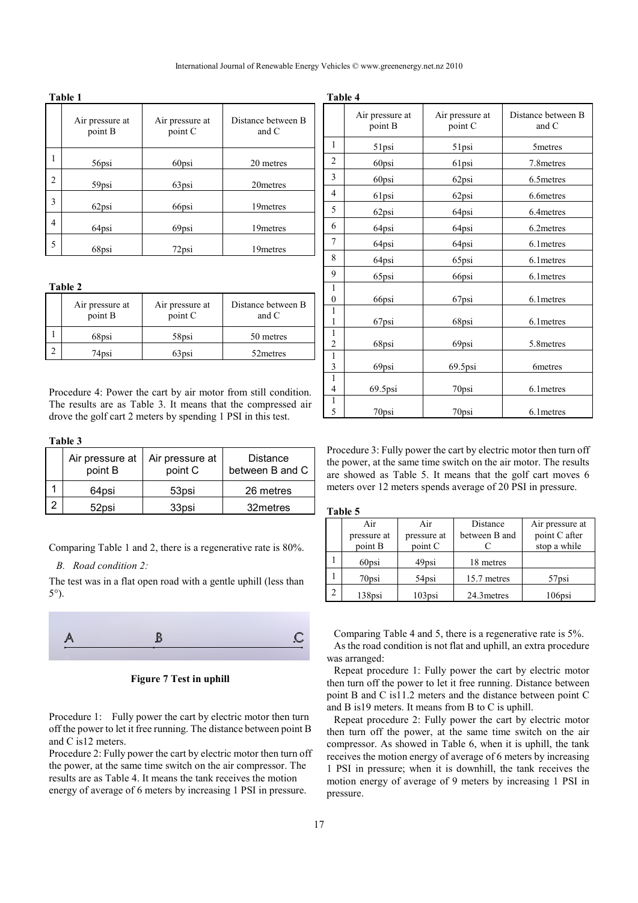|   | 1 apie 1                   |                            |                             |
|---|----------------------------|----------------------------|-----------------------------|
|   | Air pressure at<br>point B | Air pressure at<br>point C | Distance between B<br>and C |
| 1 | 56psi                      | 60psi                      | 20 metres                   |
| 2 | 59psi                      | 63psi                      | 20 metres                   |
| 3 | 62psi                      | 66psi                      | 19metres                    |
| 4 | 64psi                      | 69psi                      | 19metres                    |
| 5 | 68psi                      | 72psi                      | 19 metres                   |

**Table 2** 

**Table 1** 

| Air pressure at<br>point B | Air pressure at<br>point C | Distance between B<br>and C |  |  |
|----------------------------|----------------------------|-----------------------------|--|--|
| 68psi                      | 58psi                      | 50 metres                   |  |  |
| 74psi                      | 63psi                      | 52 metres                   |  |  |

Procedure 4: Power the cart by air motor from still condition. The results are as Table 3. It means that the compressed air drove the golf cart 2 meters by spending 1 PSI in this test.

# **Table 3**

|   | Air pressure at<br>point B | Air pressure at<br>point C | <b>Distance</b><br>between B and C |  |
|---|----------------------------|----------------------------|------------------------------------|--|
|   | 64psi                      | 53psi                      | 26 metres                          |  |
| າ | 52psi                      | 33psi                      | 32metres                           |  |

Comparing Table 1 and 2, there is a regenerative rate is 80%.

# *B. Road condition 2:*

The test was in a flat open road with a gentle uphill (less than 5°).



**Figure 7 Test in uphill** 

Procedure 1: Fully power the cart by electric motor then turn off the power to let it free running. The distance between point B and C is12 meters.

Procedure 2: Fully power the cart by electric motor then turn off the power, at the same time switch on the air compressor. The results are as Table 4. It means the tank receives the motion energy of average of 6 meters by increasing 1 PSI in pressure.

| Table 4                                 |                            |                            |                             |  |  |  |  |
|-----------------------------------------|----------------------------|----------------------------|-----------------------------|--|--|--|--|
|                                         | Air pressure at<br>point B | Air pressure at<br>point C | Distance between B<br>and C |  |  |  |  |
| $\mathbf{1}$                            | 51psi                      | 51psi                      | 5 <sub>metres</sub>         |  |  |  |  |
| 2                                       | 60psi                      | 61psi                      | 7.8 metres                  |  |  |  |  |
| 3                                       | 60psi                      | 62psi                      | 6.5 metres                  |  |  |  |  |
| $\overline{4}$                          | 61psi                      | 62psi                      | 6.6metres                   |  |  |  |  |
| 5                                       | 62psi                      | 64psi                      | 6.4 metres                  |  |  |  |  |
| 6                                       | 64psi                      | 64psi                      | 6.2 metres                  |  |  |  |  |
| $\tau$                                  | 64psi                      | 64psi                      | 6.1 metres                  |  |  |  |  |
| 8                                       | 64psi                      | 65psi                      | 6.1 metres                  |  |  |  |  |
| 9                                       | 65psi                      | 66psi                      | 6.1 metres                  |  |  |  |  |
| $\mathbf{1}$<br>$\mathbf{0}$            | 66psi                      | 67psi                      | 6.1 metres                  |  |  |  |  |
| $\mathbf{1}$<br>1                       | 67psi                      | 68psi                      | 6.1 metres                  |  |  |  |  |
| $\mathbf{1}$<br>$\overline{c}$          | 68psi                      | 69psi                      | 5.8 metres                  |  |  |  |  |
| $\mathbf{1}$<br>$\overline{\mathbf{3}}$ | 69psi                      | 69.5psi                    | 6metres                     |  |  |  |  |
| $\mathbf{1}$<br>$\overline{4}$          | 69.5psi                    | 70psi                      | 6.1 metres                  |  |  |  |  |
| 1<br>5                                  | 70psi                      | 70psi                      | 6.1 metres                  |  |  |  |  |

Procedure 3: Fully power the cart by electric motor then turn off the power, at the same time switch on the air motor. The results are showed as Table 5. It means that the golf cart moves 6 meters over 12 meters spends average of 20 PSI in pressure.

| п<br>۰,<br>ш |
|--------------|
|--------------|

| Air               | Air         | Distance      | Air pressure at |
|-------------------|-------------|---------------|-----------------|
| pressure at       | pressure at | between B and | point C after   |
| point B           | point C     |               | stop a while    |
| 60psi             | 49psi       | 18 metres     |                 |
| 70 <sub>psi</sub> | 54psi       | 15.7 metres   | 57psi           |
| $138$ psi         | $103$ psi   | 24.3 metres   | $106$ psi       |

Comparing Table 4 and 5, there is a regenerative rate is 5%.

As the road condition is not flat and uphill, an extra procedure was arranged:

Repeat procedure 1: Fully power the cart by electric motor then turn off the power to let it free running. Distance between point B and C is11.2 meters and the distance between point C and B is19 meters. It means from B to C is uphill.

Repeat procedure 2: Fully power the cart by electric motor then turn off the power, at the same time switch on the air compressor. As showed in Table 6, when it is uphill, the tank receives the motion energy of average of 6 meters by increasing 1 PSI in pressure; when it is downhill, the tank receives the motion energy of average of 9 meters by increasing 1 PSI in pressure.